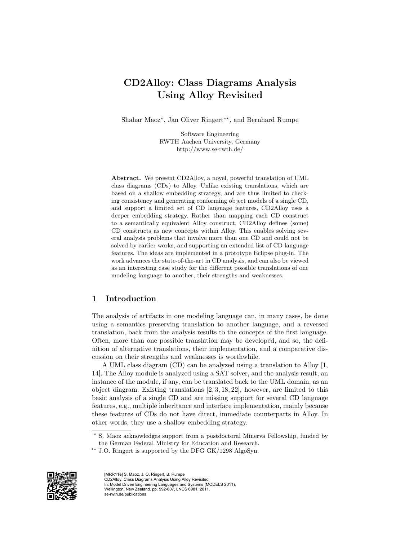# CD2Alloy: Class Diagrams Analysis Using Alloy Revisited

Shahar Maoz\*, Jan Oliver Ringert\*\*, and Bernhard Rumpe

Software Engineering RWTH Aachen University, Germany http://www.se-rwth.de/

Abstract. We present CD2Alloy, a novel, powerful translation of UML class diagrams (CDs) to Alloy. Unlike existing translations, which are based on a shallow embedding strategy, and are thus limited to checking consistency and generating conforming object models of a single CD, and support a limited set of CD language features, CD2Alloy uses a deeper embedding strategy. Rather than mapping each CD construct to a semantically equivalent Alloy construct, CD2Alloy defines (some) CD constructs as new concepts within Alloy. This enables solving several analysis problems that involve more than one CD and could not be solved by earlier works, and supporting an extended list of CD language features. The ideas are implemented in a prototype Eclipse plug-in. The work advances the state-of-the-art in CD analysis, and can also be viewed as an interesting case study for the different possible translations of one modeling language to another, their strengths and weaknesses.

## 1 Introduction

The analysis of artifacts in one modeling language can, in many cases, be done using a semantics preserving translation to another language, and a reversed translation, back from the analysis results to the concepts of the first language. Often, more than one possible translation may be developed, and so, the definition of alternative translations, their implementation, and a comparative discussion on their strengths and weaknesses is worthwhile.

A UML class diagram (CD) can be analyzed using a translation to Alloy [1, 14]. The Alloy module is analyzed using a SAT solver, and the analysis result, an instance of the module, if any, can be translated back to the UML domain, as an object diagram. Existing translations [2, 3, 18, 22], however, are limited to this basic analysis of a single CD and are missing support for several CD language features, e.g., multiple inheritance and interface implementation, mainly because these features of CDs do not have direct, immediate counterparts in Alloy. In other words, they use a shallow embedding strategy.

<sup>\*\*</sup> J.O. Ringert is supported by the DFG  $G_{K}/1298$  AlgoSyn.



<sup>?</sup> S. Maoz acknowledges support from a postdoctoral Minerva Fellowship, funded by the German Federal Ministry for Education and Research.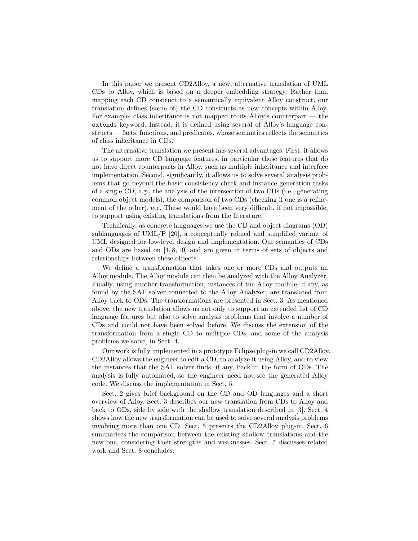In this paper we present CD2Alloy, a new, alternative translation of UML CDs to Alloy, which is based on a deeper embedding strategy. Rather than mapping each CD construct to a semantically equivalent Alloy construct, our translation defines (some of) the CD constructs as new concepts within Alloy. For example, class inheritance is not mapped to its Alloy's counterpart — the extends keyword. Instead, it is defined using several of Alloy's language constructs — facts, functions, and predicates, whose semantics reflects the semantics of class inheritance in CDs.

The alternative translation we present has several advantages. First, it allows us to support more CD language features, in particular those features that do not have direct counterparts in Alloy, such as multiple inheritance and interface implementation. Second, significantly, it allows us to solve several analysis problems that go beyond the basic consistency check and instance generation tasks of a single CD, e.g., the analysis of the intersection of two CDs (i.e., generating common object models), the comparison of two CDs (checking if one is a refinement of the other), etc. These would have been very difficult, if not impossible, to support using existing translations from the literature.

Technically, as concrete languages we use the CD and object diagrams (OD) sublanguages of UML/P [20], a conceptually refined and simplified variant of UML designed for low-level design and implementation. Our semantics of CDs and ODs are based on  $[4, 8, 10]$  and are given in terms of sets of objects and relationships between these objects.

We define a transformation that takes one or more CDs and outputs an Alloy module. The Alloy module can then be analyzed with the Alloy Analyzer. Finally, using another transformation, instances of the Alloy module, if any, as found by the SAT solver connected to the Alloy Analyzer, are translated from Alloy back to ODs. The transformations are presented in Sect. 3. As mentioned above, the new translation allows us not only to support an extended list of CD language features but also to solve analysis problems that involve a number of CDs and could not have been solved before. We discuss the extension of the transformation from a single CD to multiple CDs, and some of the analysis problems we solve, in Sect. 4.

Our work is fully implemented in a prototype Eclipse plug-in we call CD2Alloy. CD2Alloy allows the engineer to edit a CD, to analyze it using Alloy, and to view the instances that the SAT solver finds, if any, back in the form of ODs. The analysis is fully automated, so the engineer need not see the generated Alloy code. We discuss the implementation in Sect. 5.

Sect. 2 gives brief background on the CD and OD languages and a short overview of Alloy. Sect. 3 describes our new translation from CDs to Alloy and back to ODs, side by side with the shallow translation described in [3]. Sect. 4 shows how the new transformation can be used to solve several analysis problems involving more than one CD. Sect. 5 presents the CD2Alloy plug-in. Sect. 6 summarises the comparison between the existing shallow translations and the new one, considering their strengths and weaknesses. Sect. 7 discusses related work and Sect. 8 concludes.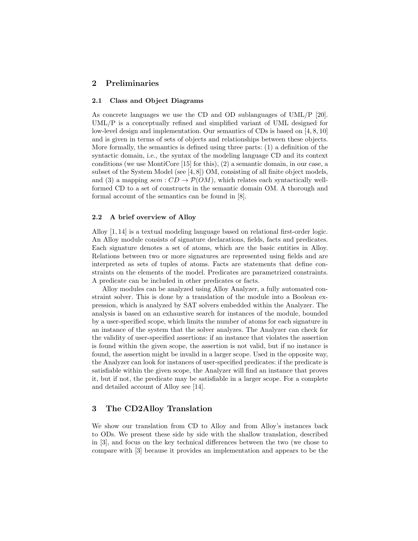## 2 Preliminaries

#### 2.1 Class and Object Diagrams

As concrete languages we use the CD and OD sublanguages of UML/P [20]. UML/P is a conceptually refined and simplified variant of UML designed for low-level design and implementation. Our semantics of CDs is based on [4, 8, 10] and is given in terms of sets of objects and relationships between these objects. More formally, the semantics is defined using three parts: (1) a definition of the syntactic domain, i.e., the syntax of the modeling language CD and its context conditions (we use MontiCore [15] for this), (2) a semantic domain, in our case, a subset of the System Model (see [4, 8]) OM, consisting of all finite object models, and (3) a mapping sem :  $CD \rightarrow \mathcal{P}(OM)$ , which relates each syntactically wellformed CD to a set of constructs in the semantic domain OM. A thorough and formal account of the semantics can be found in [8].

#### 2.2 A brief overview of Alloy

Alloy [1, 14] is a textual modeling language based on relational first-order logic. An Alloy module consists of signature declarations, fields, facts and predicates. Each signature denotes a set of atoms, which are the basic entities in Alloy. Relations between two or more signatures are represented using fields and are interpreted as sets of tuples of atoms. Facts are statements that define constraints on the elements of the model. Predicates are parametrized constraints. A predicate can be included in other predicates or facts.

Alloy modules can be analyzed using Alloy Analyzer, a fully automated constraint solver. This is done by a translation of the module into a Boolean expression, which is analyzed by SAT solvers embedded within the Analyzer. The analysis is based on an exhaustive search for instances of the module, bounded by a user-specified scope, which limits the number of atoms for each signature in an instance of the system that the solver analyzes. The Analyzer can check for the validity of user-specified assertions: if an instance that violates the assertion is found within the given scope, the assertion is not valid, but if no instance is found, the assertion might be invalid in a larger scope. Used in the opposite way, the Analyzer can look for instances of user-specified predicates: if the predicate is satisfiable within the given scope, the Analyzer will find an instance that proves it, but if not, the predicate may be satisfiable in a larger scope. For a complete and detailed account of Alloy see [14].

## 3 The CD2Alloy Translation

We show our translation from CD to Alloy and from Alloy's instances back to ODs. We present these side by side with the shallow translation, described in [3], and focus on the key technical differences between the two (we chose to compare with [3] because it provides an implementation and appears to be the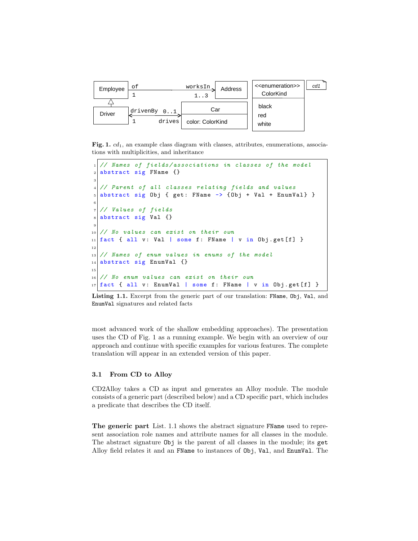

Fig. 1.  $cd_1$ , an example class diagram with classes, attributes, enumerations, associations with multiplicities, and inheritance

```
// Names of fields/associations in classes of the model
  abstract sig FName {}
 3
  4 // Parent of all classes relating fields and values
  abstract sig Obj { get: FName \rightarrow {Obj + Val + EnumVal} }
 6
  7 // Values of fields
  abstract sig Val {}
 9
10 // No values can exist on their own
_{11} fact { all v: Val | some f: FName | v in Obj.get [f] }
12
13 // Names of enum values in enums of the model
14 abstract sig EnumVal {}
15
16 // No enum values can exist on their own
17 \mid fact { all v: EnumVal | some f: FName | v in Obj.get [f] }
```
Listing 1.1. Excerpt from the generic part of our translation: FName, Obj, Val, and EnumVal signatures and related facts

most advanced work of the shallow embedding approaches). The presentation uses the CD of Fig. 1 as a running example. We begin with an overview of our approach and continue with specific examples for various features. The complete translation will appear in an extended version of this paper.

#### 3.1 From CD to Alloy

CD2Alloy takes a CD as input and generates an Alloy module. The module consists of a generic part (described below) and a CD specific part, which includes a predicate that describes the CD itself.

The generic part List. 1.1 shows the abstract signature FName used to represent association role names and attribute names for all classes in the module. The abstract signature Obj is the parent of all classes in the module; its get Alloy field relates it and an FName to instances of Obj, Val, and EnumVal. The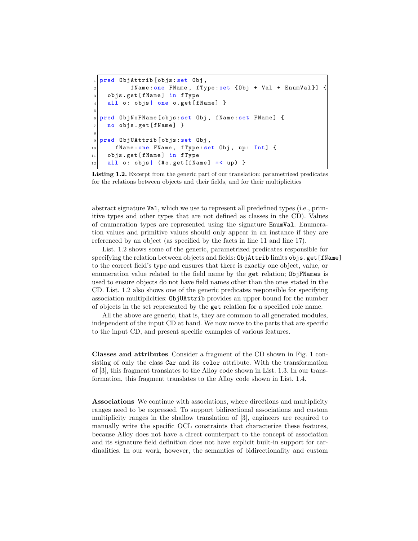```
pred ObjAttrib [objs: set Obj,
            fName: one FName, fType: set { Obj + Val + EnumVal }]
     objs.get [ fName] in fType
     all o: objs | one o.get [fName] }
5
  pred ObjNoFName [objs:set Obj, fName:set FName] {
     no objs.get [fName] }
8
  pred ObjUAttrib [objs:set Obj,
_{10} fName: one FName, fType: set Obj, up: Int] {
11 objs.get [fName] in fType
\begin{array}{c|c|c|c|c|c} \text{all} & \text{o}: & \text{objs} & (\text{\#o.get[fName]} & \text{\#o up}) \end{array}
```
Listing 1.2. Excerpt from the generic part of our translation: parametrized predicates for the relations between objects and their fields, and for their multiplicities

abstract signature Val, which we use to represent all predefined types (i.e., primitive types and other types that are not defined as classes in the CD). Values of enumeration types are represented using the signature EnumVal. Enumeration values and primitive values should only appear in an instance if they are referenced by an object (as specified by the facts in line 11 and line 17).

List. 1.2 shows some of the generic, parametrized predicates responsible for specifying the relation between objects and fields: ObjAttrib limits objs.get[fName] to the correct field's type and ensures that there is exactly one object, value, or enumeration value related to the field name by the get relation; ObjFNames is used to ensure objects do not have field names other than the ones stated in the CD. List. 1.2 also shows one of the generic predicates responsible for specifying association multiplicities: ObjUAttrib provides an upper bound for the number of objects in the set represented by the get relation for a specified role name.

All the above are generic, that is, they are common to all generated modules, independent of the input CD at hand. We now move to the parts that are specific to the input CD, and present specific examples of various features.

Classes and attributes Consider a fragment of the CD shown in Fig. 1 consisting of only the class Car and its color attribute. With the transformation of [3], this fragment translates to the Alloy code shown in List. 1.3. In our transformation, this fragment translates to the Alloy code shown in List. 1.4.

Associations We continue with associations, where directions and multiplicity ranges need to be expressed. To support bidirectional associations and custom multiplicity ranges in the shallow translation of [3], engineers are required to manually write the specific OCL constraints that characterize these features, because Alloy does not have a direct counterpart to the concept of association and its signature field definition does not have explicit built-in support for cardinalities. In our work, however, the semantics of bidirectionality and custom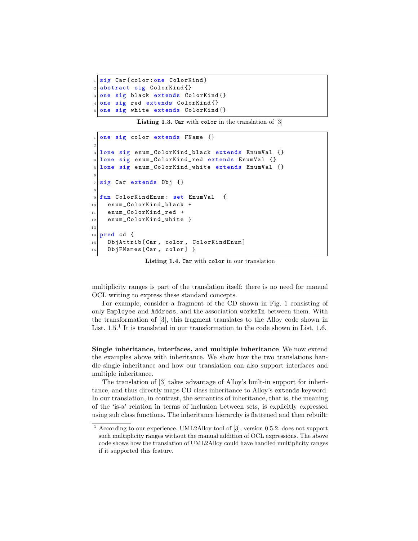```
sig Car{color: one ColorKind}
abstract sig ColorKind{}
one sig black extends ColorKind {}
one sig red extends ColorKind {}
one sig white extends ColorKind {}
```
Listing 1.3. Car with color in the translation of [3]

```
one sig color extends FName {}
2
3 lone sig enum_ColorKind_black extends EnumVal {}
  lone sig enum_ColorKind_red extends EnumVal {}
  lone sig enum_ColorKind_white extends EnumVal {}
6
  sig Car extends Obj {}
8
9 fun ColorKindEnum: set EnumVal {
10 enum_ColorKind_black +
11 enum_ColorKind_red +
12 enum_ColorKind_white }
13
_{14} pred cd {
15 ObjAttrib [Car, color, ColorKindEnum]
16 ObjFNames [Car, color] }
```
Listing 1.4. Car with color in our translation

multiplicity ranges is part of the translation itself: there is no need for manual OCL writing to express these standard concepts.

For example, consider a fragment of the CD shown in Fig. 1 consisting of only Employee and Address, and the association worksIn between them. With the transformation of [3], this fragment translates to the Alloy code shown in List.  $1.5$ <sup>1</sup> It is translated in our transformation to the code shown in List. 1.6.

Single inheritance, interfaces, and multiple inheritance We now extend the examples above with inheritance. We show how the two translations handle single inheritance and how our translation can also support interfaces and multiple inheritance.

The translation of [3] takes advantage of Alloy's built-in support for inheritance, and thus directly maps CD class inheritance to Alloy's extends keyword. In our translation, in contrast, the semantics of inheritance, that is, the meaning of the 'is-a' relation in terms of inclusion between sets, is explicitly expressed using sub class functions. The inheritance hierarchy is flattened and then rebuilt:

<sup>1</sup> According to our experience, UML2Alloy tool of [3], version 0.5.2, does not support such multiplicity ranges without the manual addition of OCL expressions. The above code shows how the translation of UML2Alloy could have handled multiplicity ranges if it supported this feature.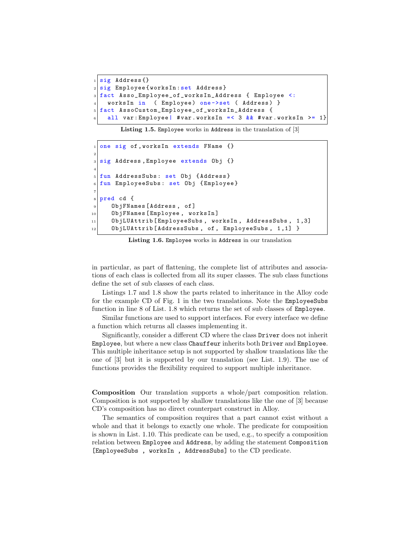```
sig Address{}
sig Employee { works In : set Address }
fact Asso_Employee_of_worksIn_Address { Employee <:
  worksIn in ( Employee) one->set ( Address) }
5 fact AssoCustom_Employee_of_worksIn_Address {
  all var: Employee | # var. worksIn =< 3 & # # var. worksIn >= 1}
```
Listing 1.5. Employee works in Address in the translation of [3]

```
one sig of, worksIn extends FName {}
2
  sig Address, Employee extends Obj {}
4
  fun AddressSubs: set Obj {Address}
  fun EmployeeSubs: set Obj {Employee}
7
  pred cd {
      9 ObjFNames [ Address , of ]
|10| ObjFNames [Employee, worksIn]
_{11} ObjLUAttrib [EmployeeSubs, worksIn, AddressSubs, 1,3]
\begin{array}{ccc} \texttt{12} & \texttt{ObjLUAttribute} \texttt{[AddressSubs, of, EmployeSubs, 1,1]} \end{array}
```
Listing 1.6. Employee works in Address in our translation

in particular, as part of flattening, the complete list of attributes and associations of each class is collected from all its super classes. The sub class functions define the set of sub classes of each class.

Listings 1.7 and 1.8 show the parts related to inheritance in the Alloy code for the example CD of Fig. 1 in the two translations. Note the EmployeeSubs function in line 8 of List. 1.8 which returns the set of sub classes of Employee.

Similar functions are used to support interfaces. For every interface we define a function which returns all classes implementing it.

Significantly, consider a different CD where the class Driver does not inherit Employee, but where a new class Chauffeur inherits both Driver and Employee. This multiple inheritance setup is not supported by shallow translations like the one of [3] but it is supported by our translation (see List. 1.9). The use of functions provides the flexibility required to support multiple inheritance.

Composition Our translation supports a whole/part composition relation. Composition is not supported by shallow translations like the one of [3] because CD's composition has no direct counterpart construct in Alloy.

The semantics of composition requires that a part cannot exist without a whole and that it belongs to exactly one whole. The predicate for composition is shown in List. 1.10. This predicate can be used, e.g., to specify a composition relation between Employee and Address, by adding the statement Composition [EmployeeSubs , worksIn , AddressSubs] to the CD predicate.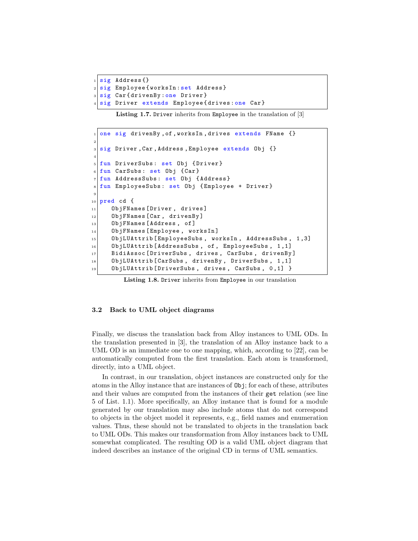```
sig Address{}
2 sig Employee { works In : set Address }
3 sig Car{drivenBy: one Driver}
 sig Driver extends Employee { drives : one Car }
```
Listing 1.7. Driver inherits from Employee in the translation of [3]

```
one sig drivenBy, of, worksIn, drives extends FName {}
2
  sig Driver, Car, Address, Employee extends Obj {}
4
  fun DriverSubs: set Obj {Driver}
 fun CarSubs: set Obj {Car}
 fun AddressSubs: set Obj {Address}
 fun EmployeeSubs: set Obj { Employee + Driver}
9
_{10} pred cd {
11 ObjFNames [Driver, drives]
12 ObjFNames [Car, drivenBy]
_{13} ObjFNames [Address, of]
14 ObjFNames [Employee, worksIn]
_{15} ObjLUAttrib [EmployeeSubs, worksIn, AddressSubs, 1,3]
16 ObjLUAttrib [AddressSubs, of, EmployeeSubs, 1,1]
17 BidiAssoc [DriverSubs, drives, CarSubs, drivenBy]
18 ObjLUAttrib [CarSubs, drivenBy, DriverSubs, 1,1]
19 ObjLUAttrib [DriverSubs, drives, CarSubs, 0,1] }
```
Listing 1.8. Driver inherits from Employee in our translation

#### 3.2 Back to UML object diagrams

Finally, we discuss the translation back from Alloy instances to UML ODs. In the translation presented in [3], the translation of an Alloy instance back to a UML OD is an immediate one to one mapping, which, according to [22], can be automatically computed from the first translation. Each atom is transformed, directly, into a UML object.

In contrast, in our translation, object instances are constructed only for the atoms in the Alloy instance that are instances of Obj; for each of these, attributes and their values are computed from the instances of their get relation (see line 5 of List. 1.1). More specifically, an Alloy instance that is found for a module generated by our translation may also include atoms that do not correspond to objects in the object model it represents, e.g., field names and enumeration values. Thus, these should not be translated to objects in the translation back to UML ODs. This makes our transformation from Alloy instances back to UML somewhat complicated. The resulting OD is a valid UML object diagram that indeed describes an instance of the original CD in terms of UML semantics.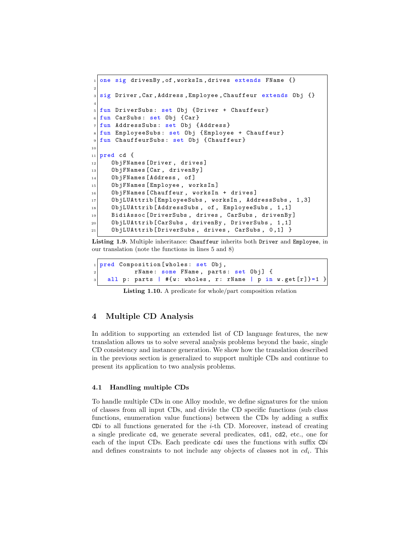```
one sig drivenBy, of, worksIn, drives extends FName {}
2
  sig Driver, Car, Address, Employee, Chauffeur extends Obj {}
4
  fun DriverSubs: set Obj {Driver + Chauffeur}
 fun CarSubs: set Obj {Car}
 fun AddressSubs: set Obj {Address}
  fun EmployeeSubs: set Obj { Employee + Chauffeur }
  fun ChauffeurSubs: set Obj { Chauffeur }
10
11 pred cd {
|12| ObjFNames [Driver, drives]
13 ObjFNames [Car, drivenBy]
14 ObjFNames [Address, of]
15 ObjFNames [Employee, worksIn]
|16| ObjFNames [Chauffeur, worksIn + drives]
17 ObjLUAttrib [EmployeeSubs, worksIn, AddressSubs, 1,3]
_{18} ObjLUAttrib [AddressSubs, of, EmployeeSubs, 1,1]
19 BidiAssoc [DriverSubs, drives, CarSubs, drivenBy]
_{\rm 20} ObjLUAttrib[CarSubs, drivenBy, DriverSubs, 1,1]
21 ObjLUAttrib [DriverSubs, drives, CarSubs, 0,1] }
```
Listing 1.9. Multiple inheritance: Chauffeur inherits both Driver and Employee, in our translation (note the functions in lines 5 and 8)

|  | 1 pred Composition [wholes: set Obj, |  |  |  |  |  |  |  |                                                                    |  |  |
|--|--------------------------------------|--|--|--|--|--|--|--|--------------------------------------------------------------------|--|--|
|  |                                      |  |  |  |  |  |  |  |                                                                    |  |  |
|  |                                      |  |  |  |  |  |  |  | $_{3}$   all p: parts   #{w: wholes, r: rName   p in w.get[r]}=1 } |  |  |

Listing 1.10. A predicate for whole/part composition relation

## 4 Multiple CD Analysis

In addition to supporting an extended list of CD language features, the new translation allows us to solve several analysis problems beyond the basic, single CD consistency and instance generation. We show how the translation described in the previous section is generalized to support multiple CDs and continue to present its application to two analysis problems.

#### 4.1 Handling multiple CDs

To handle multiple CDs in one Alloy module, we define signatures for the union of classes from all input CDs, and divide the CD specific functions (sub class functions, enumeration value functions) between the CDs by adding a suffix  $CDi$  to all functions generated for the *i*-th CD. Moreover, instead of creating a single predicate cd, we generate several predicates, cd1, cd2, etc., one for each of the input CDs. Each predicate cdi uses the functions with suffix CDi and defines constraints to not include any objects of classes not in  $cd_i$ . This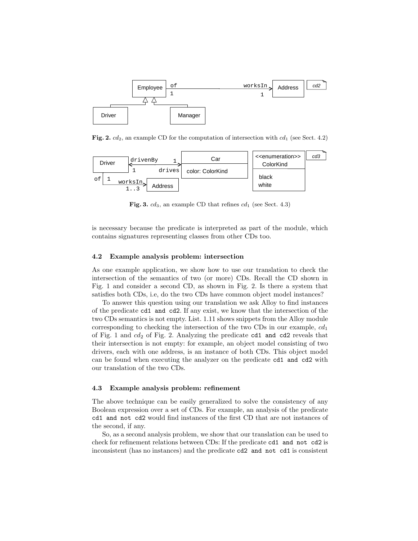

Fig. 2.  $cd_2$ , an example CD for the computation of intersection with  $cd_1$  (see Sect. 4.2)



Fig. 3.  $cd_3$ , an example CD that refines  $cd_1$  (see Sect. 4.3)

is necessary because the predicate is interpreted as part of the module, which contains signatures representing classes from other CDs too.

#### 4.2 Example analysis problem: intersection

As one example application, we show how to use our translation to check the intersection of the semantics of two (or more) CDs. Recall the CD shown in Fig. 1 and consider a second CD, as shown in Fig. 2. Is there a system that satisfies both CDs, i.e, do the two CDs have common object model instances?

To answer this question using our translation we ask Alloy to find instances of the predicate cd1 and cd2. If any exist, we know that the intersection of the two CDs semantics is not empty. List. 1.11 shows snippets from the Alloy module corresponding to checking the intersection of the two CDs in our example,  $cd_1$ of Fig. 1 and  $cd_2$  of Fig. 2. Analyzing the predicate cd1 and cd2 reveals that their intersection is not empty: for example, an object model consisting of two drivers, each with one address, is an instance of both CDs. This object model can be found when executing the analyzer on the predicate cd1 and cd2 with our translation of the two CDs.

#### 4.3 Example analysis problem: refinement

The above technique can be easily generalized to solve the consistency of any Boolean expression over a set of CDs. For example, an analysis of the predicate cd1 and not cd2 would find instances of the first CD that are not instances of the second, if any.

So, as a second analysis problem, we show that our translation can be used to check for refinement relations between CDs: If the predicate cd1 and not cd2 is inconsistent (has no instances) and the predicate cd2 and not cd1 is consistent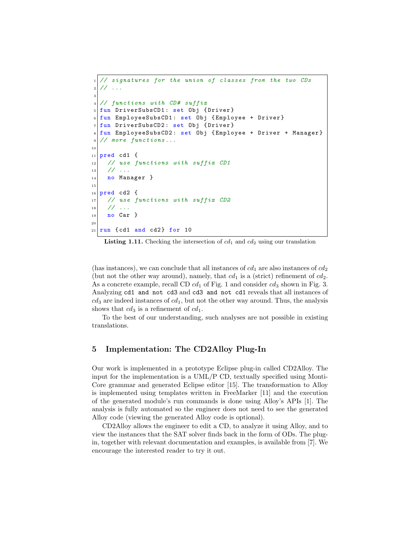```
// signatures for the union of classes from the two CDs
  11 \ldots3
  4 // functions with CD# suffix
  fun DriverSubsCD1: set Obj {Driver}
6 \text{ fun}\ EmployeeSubsCD1: set Obj { Employee + Driver}
7 fun DriverSubsCD2 : set Obj { Driver }
  fun EmployeeSubsCD2: set Obj { Employee + Driver + Manager}
  9 // more functions ...
10
_{11} pred cd1 {
12 // use functions with suffix CD1
\vert 13 \vert // ...
14 no Manager }
15
_{16} pred cd2 {
17 // use functions with suffix CD2
18 // ...
_{19} no Car }
20
_{21} run {cd1 and cd2} for 10
```
**Listing 1.11.** Checking the intersection of  $cd_1$  and  $cd_2$  using our translation

(has instances), we can conclude that all instances of  $cd_1$  are also instances of  $cd_2$ (but not the other way around), namely, that  $cd_1$  is a (strict) refinement of  $cd_2$ . As a concrete example, recall CD  $cd_1$  of Fig. 1 and consider  $cd_3$  shown in Fig. 3. Analyzing cd1 and not cd3 and cd3 and not cd1 reveals that all instances of  $cd_3$  are indeed instances of  $cd_1$ , but not the other way around. Thus, the analysis shows that  $cd_3$  is a refinement of  $cd_1$ .

To the best of our understanding, such analyses are not possible in existing translations.

## 5 Implementation: The CD2Alloy Plug-In

Our work is implemented in a prototype Eclipse plug-in called CD2Alloy. The input for the implementation is a UML/P CD, textually specified using Monti-Core grammar and generated Eclipse editor [15]. The transformation to Alloy is implemented using templates written in FreeMarker [11] and the execution of the generated module's run commands is done using Alloy's APIs [1]. The analysis is fully automated so the engineer does not need to see the generated Alloy code (viewing the generated Alloy code is optional).

CD2Alloy allows the engineer to edit a CD, to analyze it using Alloy, and to view the instances that the SAT solver finds back in the form of ODs. The plugin, together with relevant documentation and examples, is available from [7]. We encourage the interested reader to try it out.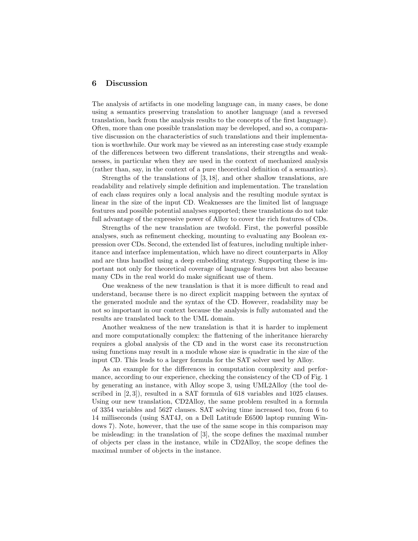### 6 Discussion

The analysis of artifacts in one modeling language can, in many cases, be done using a semantics preserving translation to another language (and a reversed translation, back from the analysis results to the concepts of the first language). Often, more than one possible translation may be developed, and so, a comparative discussion on the characteristics of such translations and their implementation is worthwhile. Our work may be viewed as an interesting case study example of the differences between two different translations, their strengths and weaknesses, in particular when they are used in the context of mechanized analysis (rather than, say, in the context of a pure theoretical definition of a semantics).

Strengths of the translations of [3, 18], and other shallow translations, are readability and relatively simple definition and implementation. The translation of each class requires only a local analysis and the resulting module syntax is linear in the size of the input CD. Weaknesses are the limited list of language features and possible potential analyses supported; these translations do not take full advantage of the expressive power of Alloy to cover the rich features of CDs.

Strengths of the new translation are twofold. First, the powerful possible analyses, such as refinement checking, mounting to evaluating any Boolean expression over CDs. Second, the extended list of features, including multiple inheritance and interface implementation, which have no direct counterparts in Alloy and are thus handled using a deep embedding strategy. Supporting these is important not only for theoretical coverage of language features but also because many CDs in the real world do make significant use of them.

One weakness of the new translation is that it is more difficult to read and understand, because there is no direct explicit mapping between the syntax of the generated module and the syntax of the CD. However, readability may be not so important in our context because the analysis is fully automated and the results are translated back to the UML domain.

Another weakness of the new translation is that it is harder to implement and more computationally complex: the flattening of the inheritance hierarchy requires a global analysis of the CD and in the worst case its reconstruction using functions may result in a module whose size is quadratic in the size of the input CD. This leads to a larger formula for the SAT solver used by Alloy.

As an example for the differences in computation complexity and performance, according to our experience, checking the consistency of the CD of Fig. 1 by generating an instance, with Alloy scope 3, using UML2Alloy (the tool described in [2, 3]), resulted in a SAT formula of 618 variables and 1025 clauses. Using our new translation, CD2Alloy, the same problem resulted in a formula of 3354 variables and 5627 clauses. SAT solving time increased too, from 6 to 14 milliseconds (using SAT4J, on a Dell Latitude E6500 laptop running Windows 7). Note, however, that the use of the same scope in this comparison may be misleading: in the translation of [3], the scope defines the maximal number of objects per class in the instance, while in CD2Alloy, the scope defines the maximal number of objects in the instance.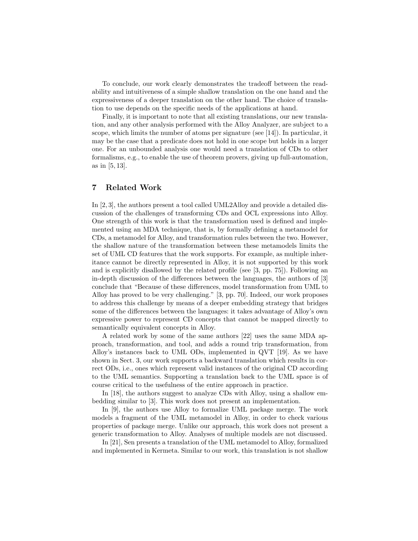To conclude, our work clearly demonstrates the tradeoff between the readability and intuitiveness of a simple shallow translation on the one hand and the expressiveness of a deeper translation on the other hand. The choice of translation to use depends on the specific needs of the applications at hand.

Finally, it is important to note that all existing translations, our new translation, and any other analysis performed with the Alloy Analyzer, are subject to a scope, which limits the number of atoms per signature (see [14]). In particular, it may be the case that a predicate does not hold in one scope but holds in a larger one. For an unbounded analysis one would need a translation of CDs to other formalisms, e.g., to enable the use of theorem provers, giving up full-automation, as in [5, 13].

## 7 Related Work

In [2, 3], the authors present a tool called UML2Alloy and provide a detailed discussion of the challenges of transforming CDs and OCL expressions into Alloy. One strength of this work is that the transformation used is defined and implemented using an MDA technique, that is, by formally defining a metamodel for CDs, a metamodel for Alloy, and transformation rules between the two. However, the shallow nature of the transformation between these metamodels limits the set of UML CD features that the work supports. For example, as multiple inheritance cannot be directly represented in Alloy, it is not supported by this work and is explicitly disallowed by the related profile (see [3, pp. 75]). Following an in-depth discussion of the differences between the languages, the authors of [3] conclude that "Because of these differences, model transformation from UML to Alloy has proved to be very challenging." [3, pp. 70]. Indeed, our work proposes to address this challenge by means of a deeper embedding strategy that bridges some of the differences between the languages: it takes advantage of Alloy's own expressive power to represent CD concepts that cannot be mapped directly to semantically equivalent concepts in Alloy.

A related work by some of the same authors [22] uses the same MDA approach, transformation, and tool, and adds a round trip transformation, from Alloy's instances back to UML ODs, implemented in QVT [19]. As we have shown in Sect. 3, our work supports a backward translation which results in correct ODs, i.e., ones which represent valid instances of the original CD according to the UML semantics. Supporting a translation back to the UML space is of course critical to the usefulness of the entire approach in practice.

In [18], the authors suggest to analyze CDs with Alloy, using a shallow embedding similar to [3]. This work does not present an implementation.

In [9], the authors use Alloy to formalize UML package merge. The work models a fragment of the UML metamodel in Alloy, in order to check various properties of package merge. Unlike our approach, this work does not present a generic transformation to Alloy. Analyses of multiple models are not discussed.

In [21], Sen presents a translation of the UML metamodel to Alloy, formalized and implemented in Kermeta. Similar to our work, this translation is not shallow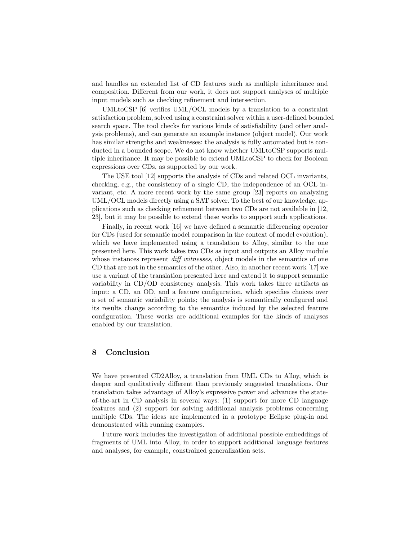and handles an extended list of CD features such as multiple inheritance and composition. Different from our work, it does not support analyses of multiple input models such as checking refinement and intersection.

UMLtoCSP [6] verifies UML/OCL models by a translation to a constraint satisfaction problem, solved using a constraint solver within a user-defined bounded search space. The tool checks for various kinds of satisfiability (and other analysis problems), and can generate an example instance (object model). Our work has similar strengths and weaknesses: the analysis is fully automated but is conducted in a bounded scope. We do not know whether UMLtoCSP supports multiple inheritance. It may be possible to extend UMLtoCSP to check for Boolean expressions over CDs, as supported by our work.

The USE tool [12] supports the analysis of CDs and related OCL invariants, checking, e.g., the consistency of a single CD, the independence of an OCL invariant, etc. A more recent work by the same group [23] reports on analyzing UML/OCL models directly using a SAT solver. To the best of our knowledge, applications such as checking refinement between two CDs are not available in [12, 23], but it may be possible to extend these works to support such applications.

Finally, in recent work [16] we have defined a semantic differencing operator for CDs (used for semantic model comparison in the context of model evolution), which we have implemented using a translation to Alloy, similar to the one presented here. This work takes two CDs as input and outputs an Alloy module whose instances represent *diff witnesses*, object models in the semantics of one CD that are not in the semantics of the other. Also, in another recent work [17] we use a variant of the translation presented here and extend it to support semantic variability in CD/OD consistency analysis. This work takes three artifacts as input: a CD, an OD, and a feature configuration, which specifies choices over a set of semantic variability points; the analysis is semantically configured and its results change according to the semantics induced by the selected feature configuration. These works are additional examples for the kinds of analyses enabled by our translation.

### 8 Conclusion

We have presented CD2Alloy, a translation from UML CDs to Alloy, which is deeper and qualitatively different than previously suggested translations. Our translation takes advantage of Alloy's expressive power and advances the stateof-the-art in CD analysis in several ways: (1) support for more CD language features and (2) support for solving additional analysis problems concerning multiple CDs. The ideas are implemented in a prototype Eclipse plug-in and demonstrated with running examples.

Future work includes the investigation of additional possible embeddings of fragments of UML into Alloy, in order to support additional language features and analyses, for example, constrained generalization sets.